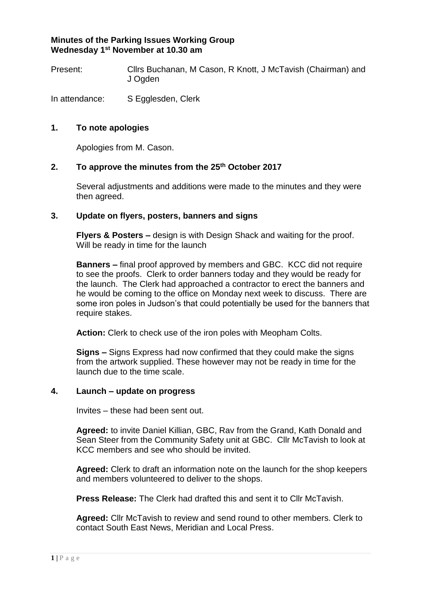# **Minutes of the Parking Issues Working Group Wednesday 1st November at 10.30 am**

Present: Cllrs Buchanan, M Cason, R Knott, J McTavish (Chairman) and J Ogden

In attendance: S Egglesden, Clerk

## **1. To note apologies**

Apologies from M. Cason.

# **2. To approve the minutes from the 25th October 2017**

Several adjustments and additions were made to the minutes and they were then agreed.

#### **3. Update on flyers, posters, banners and signs**

**Flyers & Posters –** design is with Design Shack and waiting for the proof. Will be ready in time for the launch

**Banners –** final proof approved by members and GBC. KCC did not require to see the proofs. Clerk to order banners today and they would be ready for the launch. The Clerk had approached a contractor to erect the banners and he would be coming to the office on Monday next week to discuss. There are some iron poles in Judson's that could potentially be used for the banners that require stakes.

**Action:** Clerk to check use of the iron poles with Meopham Colts.

**Signs –** Signs Express had now confirmed that they could make the signs from the artwork supplied. These however may not be ready in time for the launch due to the time scale.

#### **4. Launch – update on progress**

Invites – these had been sent out.

**Agreed:** to invite Daniel Killian, GBC, Rav from the Grand, Kath Donald and Sean Steer from the Community Safety unit at GBC. Cllr McTavish to look at KCC members and see who should be invited.

**Agreed:** Clerk to draft an information note on the launch for the shop keepers and members volunteered to deliver to the shops.

**Press Release:** The Clerk had drafted this and sent it to Cllr McTavish.

**Agreed:** Cllr McTavish to review and send round to other members. Clerk to contact South East News, Meridian and Local Press.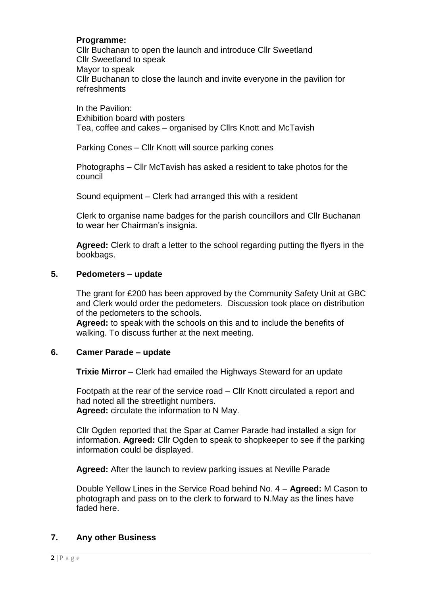## **Programme:**

Cllr Buchanan to open the launch and introduce Cllr Sweetland Cllr Sweetland to speak Mayor to speak Cllr Buchanan to close the launch and invite everyone in the pavilion for refreshments

In the Pavilion: Exhibition board with posters Tea, coffee and cakes – organised by Cllrs Knott and McTavish

Parking Cones – Cllr Knott will source parking cones

Photographs – Cllr McTavish has asked a resident to take photos for the council

Sound equipment – Clerk had arranged this with a resident

Clerk to organise name badges for the parish councillors and Cllr Buchanan to wear her Chairman's insignia.

**Agreed:** Clerk to draft a letter to the school regarding putting the flyers in the bookbags.

#### **5. Pedometers – update**

The grant for £200 has been approved by the Community Safety Unit at GBC and Clerk would order the pedometers. Discussion took place on distribution of the pedometers to the schools.

**Agreed:** to speak with the schools on this and to include the benefits of walking. To discuss further at the next meeting.

## **6. Camer Parade – update**

**Trixie Mirror –** Clerk had emailed the Highways Steward for an update

Footpath at the rear of the service road – Cllr Knott circulated a report and had noted all the streetlight numbers. **Agreed:** circulate the information to N May.

Cllr Ogden reported that the Spar at Camer Parade had installed a sign for information. **Agreed:** Cllr Ogden to speak to shopkeeper to see if the parking information could be displayed.

**Agreed:** After the launch to review parking issues at Neville Parade

Double Yellow Lines in the Service Road behind No. 4 – **Agreed:** M Cason to photograph and pass on to the clerk to forward to N.May as the lines have faded here.

## **7. Any other Business**